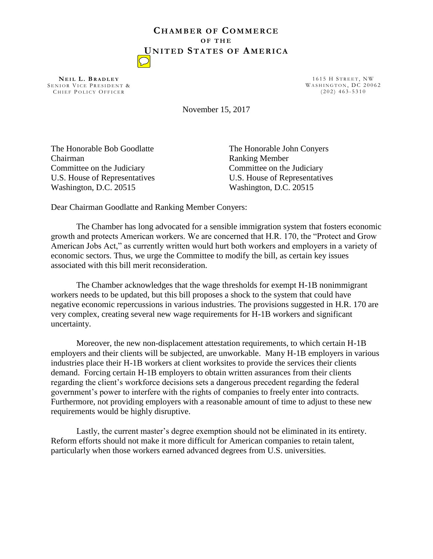## **CH A M B E R O F CO M M E R C E O F T H E UN I T E D ST A T E S O F AM E R I C A**

**N E I L L . B R A D L E Y** SENIOR VICE PRESIDENT & CHIEF POLICY OFFICER

1615 H STREET, NW WASHINGTON, DC 20062  $(202)$  463-5310

November 15, 2017

The Honorable Bob Goodlatte Chairman Committee on the Judiciary U.S. House of Representatives Washington, D.C. 20515

The Honorable John Conyers Ranking Member Committee on the Judiciary U.S. House of Representatives Washington, D.C. 20515

Dear Chairman Goodlatte and Ranking Member Conyers:

 The Chamber has long advocated for a sensible immigration system that fosters economic growth and protects American workers. We are concerned that H.R. 170, the "Protect and Grow American Jobs Act," as currently written would hurt both workers and employers in a variety of economic sectors. Thus, we urge the Committee to modify the bill, as certain key issues associated with this bill merit reconsideration.

The Chamber acknowledges that the wage thresholds for exempt H-1B nonimmigrant workers needs to be updated, but this bill proposes a shock to the system that could have negative economic repercussions in various industries. The provisions suggested in H.R. 170 are very complex, creating several new wage requirements for H-1B workers and significant uncertainty.

 Moreover, the new non-displacement attestation requirements, to which certain H-1B employers and their clients will be subjected, are unworkable. Many H-1B employers in various industries place their H-1B workers at client worksites to provide the services their clients demand. Forcing certain H-1B employers to obtain written assurances from their clients regarding the client's workforce decisions sets a dangerous precedent regarding the federal government's power to interfere with the rights of companies to freely enter into contracts. Furthermore, not providing employers with a reasonable amount of time to adjust to these new requirements would be highly disruptive.

 Lastly, the current master's degree exemption should not be eliminated in its entirety. Reform efforts should not make it more difficult for American companies to retain talent, particularly when those workers earned advanced degrees from U.S. universities.